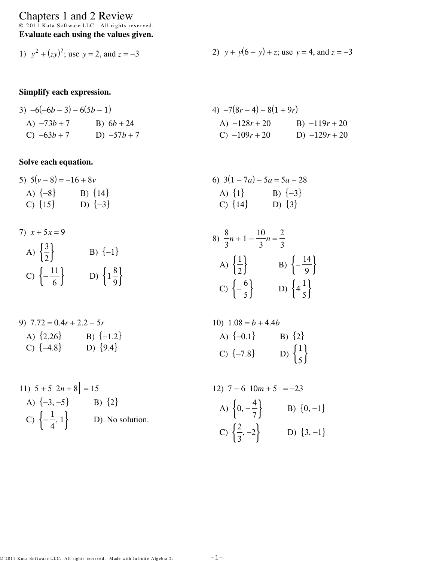# Chapters 1 and 2 Review<br>  $\circ$  2011 Kuta Software LLC. All rights reserved.<br> **Evaluate each using the values given.**

1) 
$$
y^2 + (zy)^2
$$
; use  $y = 2$ , and  $z = -3$   
2)  $y + y(6 - y) + z$ ; use  $y = 4$ , and  $z = -3$ 

## Simplify each expression.

3) 
$$
-6(-6b-3) - 6(5b-1)
$$
  
\nA)  $-73b+7$   
\nB)  $6b+24$   
\nC)  $-63b+7$   
\nD)  $-57b+7$   
\nE)  $6b+24$   
\nE)  $-128r+20$   
\nE)  $-119r+20$   
\nE)  $-119r+20$   
\nE)  $-129r+20$ 

## Solve each equation.

7)

| 5) $5(v-8) = -16 + 8v$ | 6) $3(1-7a) - 5a = 5a - 28$ |             |             |
|------------------------|-----------------------------|-------------|-------------|
| A) $\{-8\}$            | B) $\{14\}$                 | A) $\{1\}$  | B) $\{-3\}$ |
| C) $\{15\}$            | D) $\{-3\}$                 | C) $\{14\}$ | D) $\{3\}$  |

$$
x + 5x = 9
$$
\n
$$
A) \left\{\frac{3}{2}\right\}
$$
\n
$$
B) \{-1\}
$$
\n
$$
B) \{-1\}
$$
\n
$$
B) \left\{\frac{1}{3}\right\}
$$
\n
$$
B) \left\{\frac{1}{2}\right\}
$$
\n
$$
B) \left\{\frac{1}{2}\right\}
$$
\n
$$
B) \left\{\frac{14}{2}\right\}
$$
\n
$$
C) \left\{\frac{6}{5}\right\}
$$
\n
$$
D) \left\{\frac{1}{4}\frac{1}{5}\right\}
$$

9) 
$$
7.72 = 0.4r + 2.2 - 5r
$$
  
A)  $\{2.26\}$   
B)  $\{-1.2\}$   
C)  $\{-4.8\}$   
D)  $\{9.4\}$ 

11) 
$$
5 + 5|2n + 8| = 15
$$
  
\nA)  $\{-3, -5\}$   
\nB)  $\{2\}$   
\nC)  $\{-\frac{1}{4}, 1\}$   
\nD) No solution.

10) 
$$
1.08 = b + 4.4b
$$
  
A)  $\{-0.1\}$   
B)  $\{2\}$   
C)  $\{-7.8\}$   
D)  $\{\frac{1}{5}\}$ 

12) 
$$
7-6|10m+5| = -23
$$
  
\nA)  $\{0, -\frac{4}{7}\}$   
\nB)  $\{0, -1\}$   
\nC)  $\{\frac{2}{3}, -2\}$   
\nD)  $\{3, -1\}$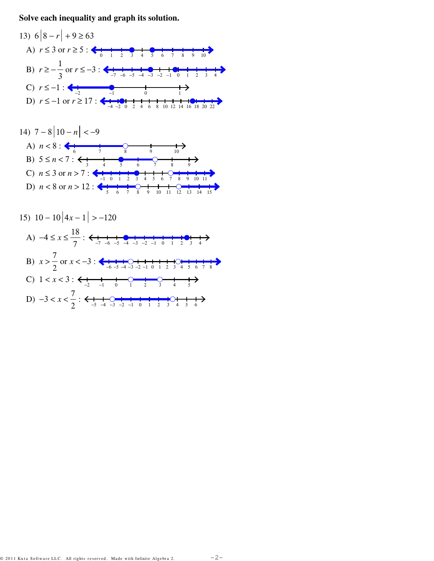Solve each inequality and graph its solution.





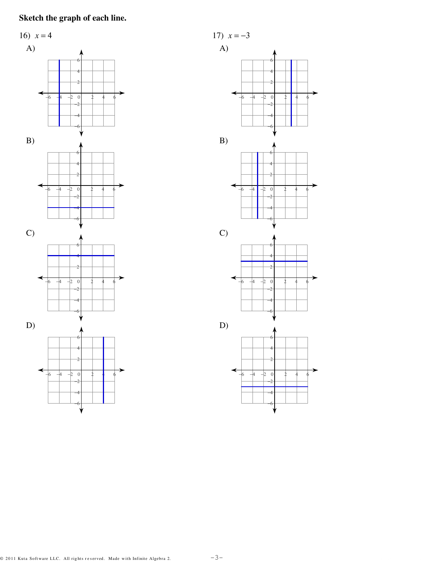# Sketch the graph of each line.



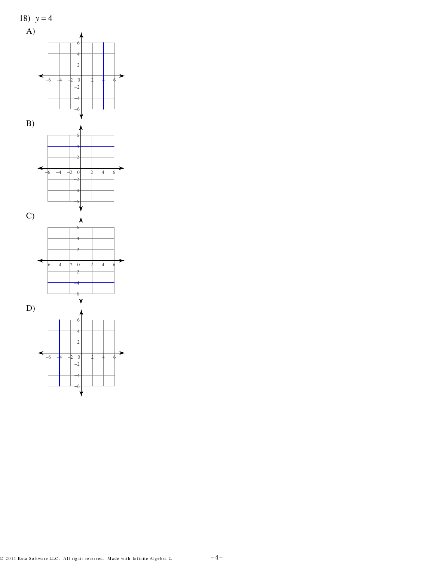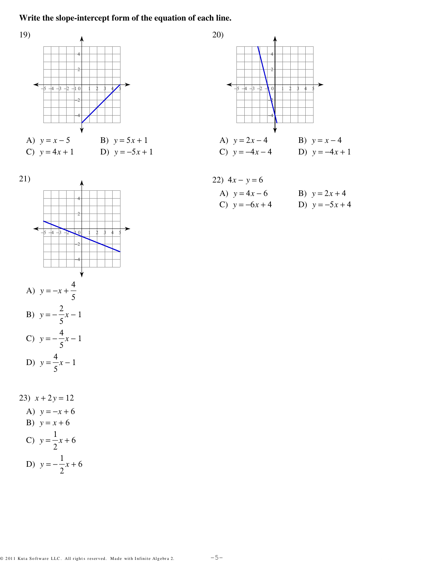#### Write the slope-intercept form of the equation of each line.





22) 
$$
4x - y = 6
$$
  
\nA)  $y = 4x - 6$   
\nB)  $y = 2x + 4$   
\nC)  $y = -6x + 4$   
\nD)  $y = -5x + 4$ 



23)  $x + 2y = 12$ A)  $y = -x + 6$ B)  $y = x + 6$ C)  $y = \frac{1}{2}x + 6$ D)  $y = -\frac{1}{2}x + 6$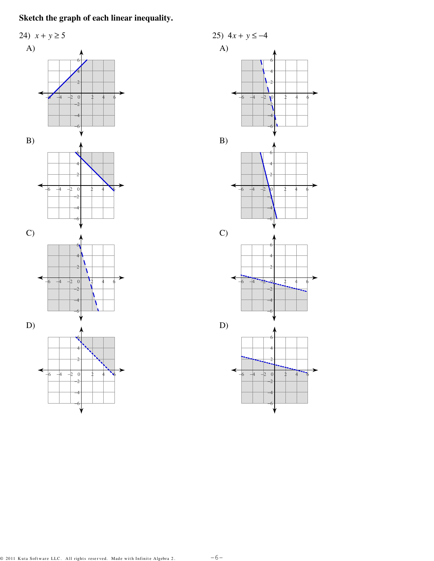## Sketch the graph of each linear inequality.



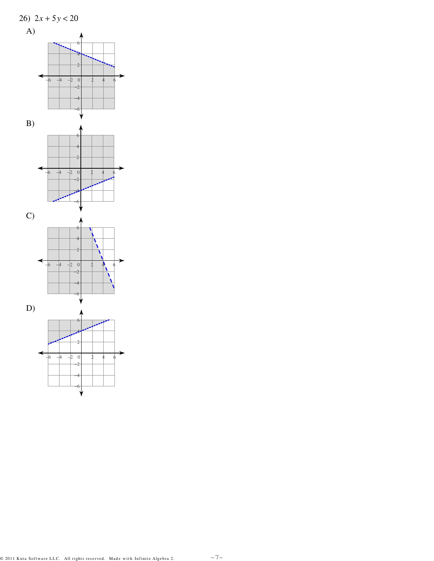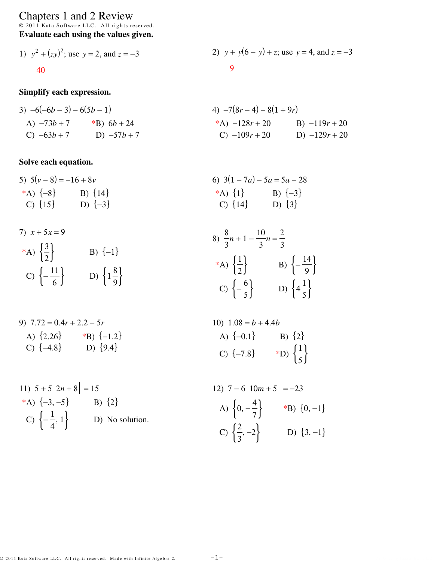Chapters 1 and 2 Review<br>  $\circ$  2011 Kuta Software LLC. All rights reserved.<br> **Evaluate each using the values given.** 

1) 
$$
y^2 + (zy)^2
$$
; use  $y = 2$ , and  $z = -3$   
2)  $y + y(6 - y) + z$ ; use  $y = 4$ , and  $z = -3$   
9

#### Simplify each expression.

3) 
$$
-6(-6b-3) - 6(5b-1)
$$
  
\n4)  $-7(8r-4) - 8(1+9r)$   
\n4)  $-7(8r-4) - 8(1+9r)$   
\n5)  $-3b+7$   
\n6)  $-63b+7$   
\n7)  $-63b+7$   
\n8)  $-57b+7$   
\n9)  $-57b+7$   
\n10)  $-57b+7$   
\n21)  $-109r+20$   
\n32)  $-119r+20$   
\n43)  $-128r+20$   
\n5)  $-119r+20$   
\n6)  $-109r+20$   
\n7)  $-129r+20$ 

## Solve each equation.

7)

5) 
$$
5(v-8) = -16 + 8v
$$
  
\n\* $A) \{-8\}$   
\n6)  $3(1-7a) - 5a = 5a - 28$   
\n\* $A) \{1\}$   
\n6)  $3(1-7a) - 5a = 5a - 28$   
\n\* $A) \{1\}$   
\n6)  $3(1-7a) - 5a = 5a - 28$   
\n\* $A) \{1\}$   
\n6)  $3(1-7a) - 5a = 5a - 28$   
\n6)  $3(1-7a) - 5a = 5a - 28$   
\n6)  $3(1-7a) - 5a = 5a - 28$   
\n6)  $14\}$   
\n7)  $\{3\}$ 

7) 
$$
x + 5x = 9
$$
  
\n
$$
{}^{*}A) \left\{\frac{3}{2}\right\}
$$
\nB)  $\{-1\}$   
\nC)  $\left\{-\frac{11}{6}\right\}$ \nD)  $\left\{1\frac{8}{9}\right\}$   
\nD)  $\left\{1\frac{8}{9}\right\}$   
\nE)  $\left\{-\frac{6}{5}\right\}$ \nD)  $\left\{4\frac{1}{5}\right\}$ 

9) 
$$
7.72 = 0.4r + 2.2 - 5r
$$
  
A)  $\{2.26\}$  \*B)  $\{-1.2\}$   
C)  $\{-4.8\}$  D)  $\{9.4\}$ 

11) 
$$
5 + 5|2n + 8| = 15
$$
  
\n\***A**)  $\{-3, -5\}$  **B**)  $\{2\}$   
\n**C**)  $\{-\frac{1}{4}, 1\}$  **D**) No solution.

10) 
$$
1.08 = b + 4.4b
$$
  
A)  $\{-0.1\}$   
B)  $\{2\}$   
C)  $\{-7.8\}$   
B)  $\{\frac{1}{5}\}$ 

12) 
$$
7-6|10m+5| = -23
$$
  
\nA)  $\{0, -\frac{4}{7}\}$  \*B)  $\{0, -1\}$   
\nC)  $\{\frac{2}{3}, -2\}$  D)  $\{3, -1\}$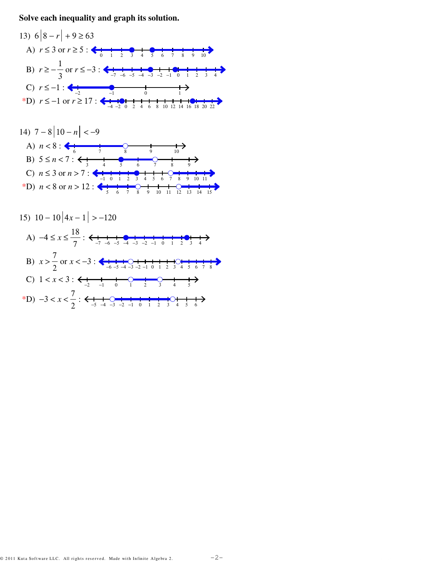Solve each inequality and graph its solution.





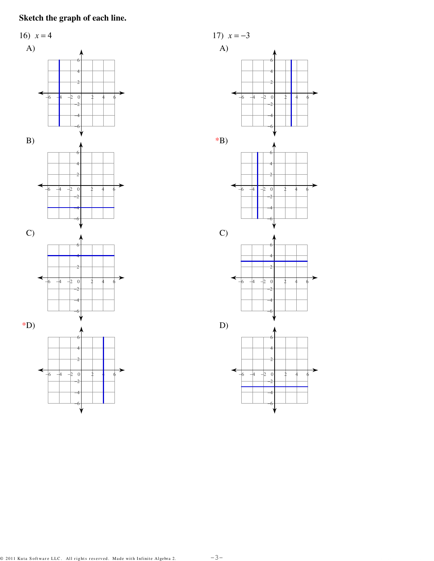# Sketch the graph of each line.



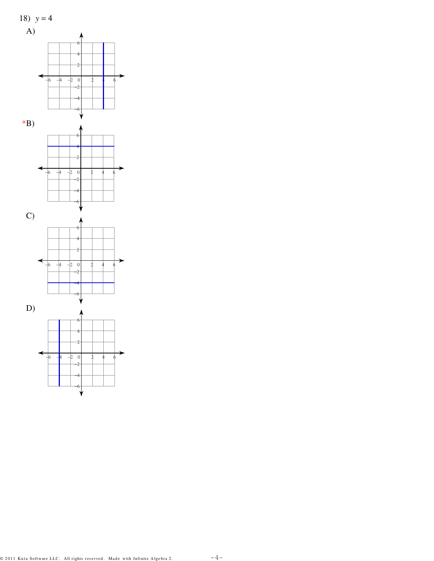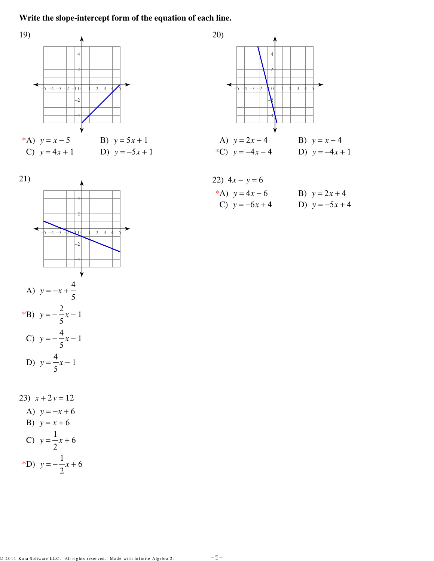#### Write the slope-intercept form of the equation of each line.





22) 
$$
4x - y = 6
$$
  
\n\***A**)  $y = 4x - 6$   
\n**B**)  $y = 2x + 4$   
\n**C**)  $y = -6x + 4$   
\n**D**)  $y = -5x + 4$ 



23)  $x + 2y = 12$ A)  $y = -x + 6$ B)  $y = x + 6$ C)  $y = \frac{1}{2}x + 6$ \*D)  $y = -\frac{1}{2}x + 6$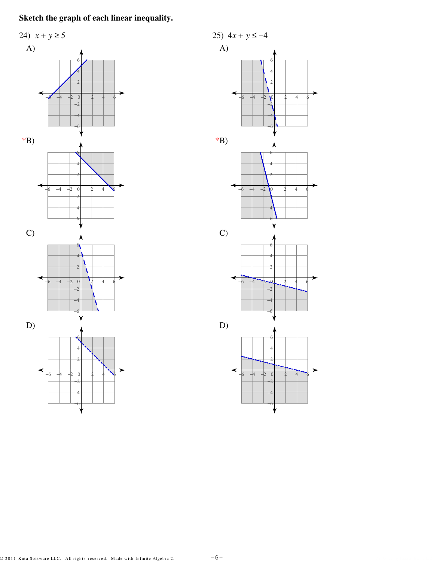## Sketch the graph of each linear inequality.